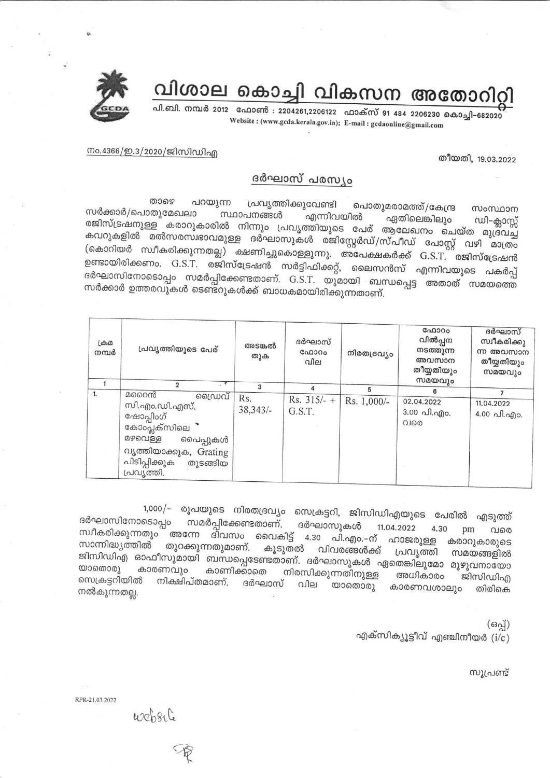വിശാല കൊച്ചി വികസന അതോറിറ്റി

പി.ബി. നമ്പർ 2012 ഫോൺ : 2204261,2206122 ഫാക്സ് 91 484 2206230 കൊച്ചി-682020 Website: (www.gcda.kerala.gov.in); E-mail: gcdaonline@gmail.com

നം.4366/ഇ.3/2020/ജിസിഡിഎ

തീയതി, 19.03.2022

## ദർഘാസ് പരസ്യം

താഴെ പറയുന്ന പ്രവൃത്തിക്കുവേണ്ടി പൊതുമരാമത്ത്/കേന്ദ്ര സംസ്ഥാന സർക്കാർ/പൊതുമേഖലാ സ്ഥാപനങ്ങൾ എന്നിവയിൽ ഏതിലെങ്കിലും ഡി–ക്ലാസ്സ് രജിസ്ട്രഷനുള്ള കരാറുകാരിൽ നിന്നും പ്രവൃത്തിയുടെ പേര് ആലേഖനം ചെയ്ത മുദ്രവച്ച കവറുകളിൽ മൽസരസ്ഥാവമുള്ള ദർഘാസുകൾ രജിസ്റ്റേർഡ്/സ്പീഡ് പോസ്റ്റ് വഴി മാത്രം (കൊറിയർ സ്ഥീകരിക്കുന്നതല്ല) ക്ഷണിച്ചുകൊള്ളുന്നു. അപേക്ഷകർക്ക് G.S.T. രജിസ്ട്രേഷൻ ഉണ്ടായിരിക്കണം. G.S.T. രജിസ്ട്രേഷൻ സർട്ടിഫിക്കറ്റ്, ലൈസൻസ് എന്നിവയുടെ പകർപ്പ് ദർഘാസിനോടൊപ്പം സമർപ്പിക്കേണ്ടതാണ്. G.S.T. യുമായി ബന്ധപ്പെട്ട അതാത് സമയത്തെ സർക്കാർ ഉത്തരവുകൾ ടെണ്ടറുകൾക്ക് ബാധകമായിരിക്കുന്നതാണ്.

| $L$ சி $\Omega$<br>നമ്പർ | പ്രവ്യത്തിയുടെ പേര്                                                                                                                                                  | അടങ്കൽ<br>തുക       | ദർഘാസ്<br>ഫോറം<br>വില        | നിരതദ്രവ്യം      | ഫോറം<br>വിൽപ്പന<br>നടത്തുന്ന<br>അവസാന<br>തീയ്യതിയും<br>സമയവും | ദർഘാസ്<br>സ്വീകരിക്കു<br>ന്ന അവസാന<br>തീയ്യതിയും<br>സമയവും |
|--------------------------|----------------------------------------------------------------------------------------------------------------------------------------------------------------------|---------------------|------------------------------|------------------|---------------------------------------------------------------|------------------------------------------------------------|
| 1.                       | $\cdot$ 5<br>മറൈൻ<br>ഡൈവ്<br>സി.എം.ഡി.എസ്.<br>ഷോപ്പിംഗ്<br>കോംപ്ലക്സിലെ<br>മഴവെള്ള<br>പൈപ്പുകൾ<br>വൃത്തിയാക്കുക, Grating<br>പിടിപ്പിക്കുക<br>തുടങ്ങിയ<br>പ്രവ്യത്തി. | з<br>Rs.<br>38,343/ | 4<br>Rs. $315/-$ +<br>G.S.T. | 5<br>Rs. 1,000/- | 6<br>02.04.2022<br>3.00 പി.എം.<br>വരെ                         | 11.04.2022<br>4.00 പി.എo.                                  |

1,000/- രൂപയുടെ നിരതദ്രവ്യം സെക്രട്ടറി, ജിസിഡിഎയുടെ പേരിൽ എടുത്ത് ദർഘാസിനോടൊപ്പം സമർപ്പിക്കേണ്ടതാണ്. ദർഘാസുകൾ 11.04.2022 സ്ഥീകരിക്കുന്നതും അന്നേ ദിവസം വൈകിട്ട് 4.30 പി.എം.-ന് ഹാജരുള്ള 4.30 pm വരെ കരാറുകാരുടെ സാന്നിദ്ധ്യത്തിൽ തുറക്കുന്നതുമാണ്. കൂടുതൽ വിവരങ്ങൾക്ക് പ്രവൃത്തി സമയങ്ങളിൽ ജിസിഡിഎ ഓഫീസുമായി ബന്ധപ്പെടേണ്ടതാണ്. ദർഘാസുകൾ ഏതെങ്കിലുമോ മുഴുവനായോ യാതൊരു കാരണവും കാണിക്കാതെ നിരസിക്കുന്നതിനുള്ള അധികാരം ജിസിഡിഎ സെക്രട്ടറിയിൽ നിക്ഷിപ്തമാണ്. ദർഘാസ് വില യാതൊരു കാരണവശാലും തിരികെ നൽകുന്നതല്ല.

> (ഒപ്പ്) എക്സിക്യൂട്ടീവ് എഞ്ചിനീയർ (i/c)

> > സൂപ്രണ്ട്

RPR-21.03.2022

website